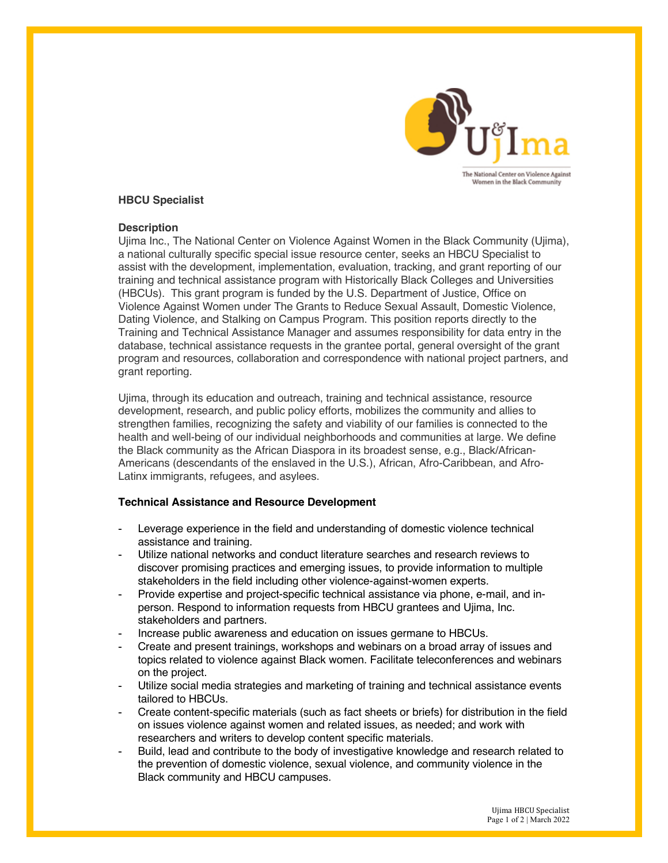

### **HBCU Specialist**

#### **Description**

Ujima Inc., The National Center on Violence Against Women in the Black Community (Ujima), a national culturally specific special issue resource center, seeks an HBCU Specialist to assist with the development, implementation, evaluation, tracking, and grant reporting of our training and technical assistance program with Historically Black Colleges and Universities (HBCUs). This grant program is funded by the U.S. Department of Justice, Office on Violence Against Women under The Grants to Reduce Sexual Assault, Domestic Violence, Dating Violence, and Stalking on Campus Program. This position reports directly to the Training and Technical Assistance Manager and assumes responsibility for data entry in the database, technical assistance requests in the grantee portal, general oversight of the grant program and resources, collaboration and correspondence with national project partners, and grant reporting.

Ujima, through its education and outreach, training and technical assistance, resource development, research, and public policy efforts, mobilizes the community and allies to strengthen families, recognizing the safety and viability of our families is connected to the health and well-being of our individual neighborhoods and communities at large. We define the Black community as the African Diaspora in its broadest sense, e.g., Black/African-Americans (descendants of the enslaved in the U.S.), African, Afro-Caribbean, and Afro-Latinx immigrants, refugees, and asylees.

# **Technical Assistance and Resource Development**

- Leverage experience in the field and understanding of domestic violence technical assistance and training.
- Utilize national networks and conduct literature searches and research reviews to discover promising practices and emerging issues, to provide information to multiple stakeholders in the field including other violence-against-women experts.
- Provide expertise and project-specific technical assistance via phone, e-mail, and inperson. Respond to information requests from HBCU grantees and Ujima, Inc. stakeholders and partners.
- Increase public awareness and education on issues germane to HBCUs.
- Create and present trainings, workshops and webinars on a broad array of issues and topics related to violence against Black women. Facilitate teleconferences and webinars on the project.
- Utilize social media strategies and marketing of training and technical assistance events tailored to HBCUs.
- Create content-specific materials (such as fact sheets or briefs) for distribution in the field on issues violence against women and related issues, as needed; and work with researchers and writers to develop content specific materials.
- Build, lead and contribute to the body of investigative knowledge and research related to the prevention of domestic violence, sexual violence, and community violence in the Black community and HBCU campuses.